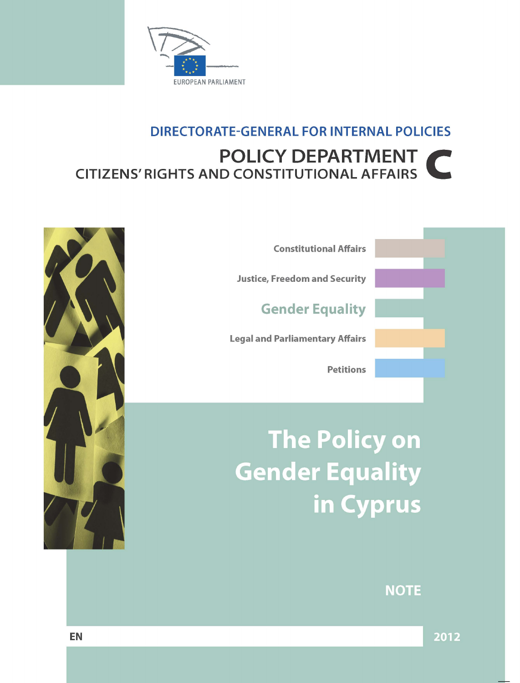

# **DIRECTORATE-GENERAL FOR INTERNAL POLICIES** POLICY DEPARTMENT **CITIZENS' RIGHTS AND CONSTITUTIONAL AFFAIRS**



**Constitutional Affairs** 

**Justice, Freedom and Security** 

**Gender Equality** 

**Legal and Parliamentary Affairs** 

**Petitions** 

**The Policy on Gender Equality** in Cyprus

# **NOTE**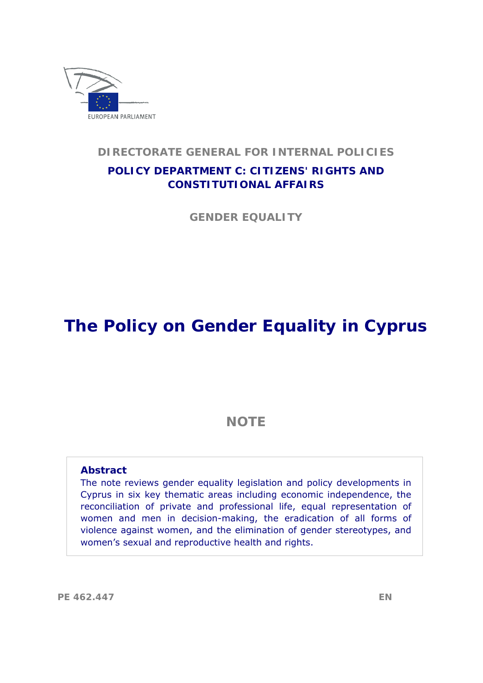

#### **DIRECTORATE GENERAL FOR INTERNAL POLICIES**

# **POLICY DEPARTMENT C: CITIZENS' RIGHTS AND CONSTITUTIONAL AFFAIRS**

**GENDER EQUALITY** 

# **The Policy on Gender Equality in Cyprus**

# **NOTE**

#### **Abstract**

 women's sexual and reproductive health and rights. The note reviews gender equality legislation and policy developments in Cyprus in six key thematic areas including economic independence, the reconciliation of private and professional life, equal representation of women and men in decision-making, the eradication of all forms of violence against women, and the elimination of gender stereotypes, and

**PE 462.447 EN**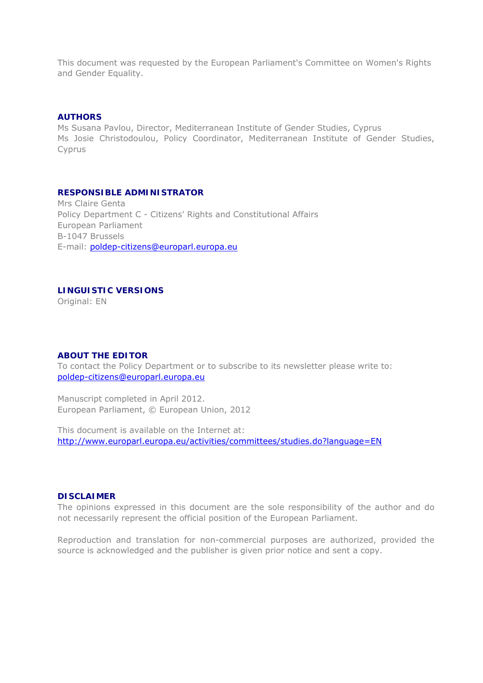This document was requested by the European Parliament's Committee on Women's Rights and Gender Equality.

#### **AUTHORS**

Ms Susana Pavlou, Director, Mediterranean Institute of Gender Studies, Cyprus Ms Josie Christodoulou, Policy Coordinator, Mediterranean Institute of Gender Studies, Cyprus

#### **RESPONSIBLE ADMINISTRATOR**

Mrs Claire Genta Policy Department C - Citizens' Rights and Constitutional Affairs European Parliament B-1047 Brussels E-mail: [poldep-citizens@europarl.europa.eu](mailto:poldep-citizens@europarl.europa.eu) 

#### **LINGUISTIC VERSIONS**

Original: EN

#### **ABOUT THE EDITOR**

To contact the Policy Department or to subscribe to its newsletter please write to:<br>poldep-citizens@europarl.europa.eu

Manuscript completed in April 2012. European Parliament, © European Union, 2012

This document is available on the Internet at: <http://www.europarl.europa.eu/activities/committees/studies.do?language=EN>

#### **DISCLAIMER**

The opinions expressed in this document are the sole responsibility of the author and do not necessarily represent the official position of the European Parliament.

Reproduction and translation for non-commercial purposes are authorized, provided the source is acknowledged and the publisher is given prior notice and sent a copy.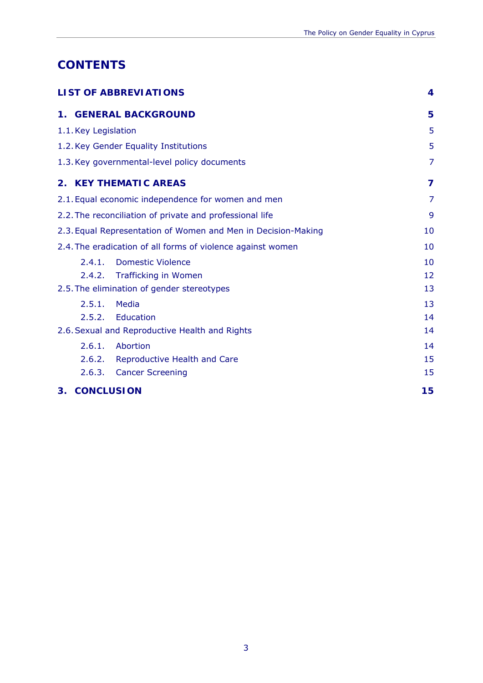# **CONTENTS**

| <b>LIST OF ABBREVIATIONS</b>                                  | $\boldsymbol{4}$ |
|---------------------------------------------------------------|------------------|
| <b>1. GENERAL BACKGROUND</b>                                  | 5                |
| 1.1. Key Legislation                                          | 5                |
| 1.2. Key Gender Equality Institutions                         | 5                |
| 1.3. Key governmental-level policy documents                  | 7                |
| 2. KEY THEMATIC AREAS                                         | 7                |
| 2.1. Equal economic independence for women and men            | 7                |
| 2.2. The reconciliation of private and professional life      | 9                |
| 2.3. Equal Representation of Women and Men in Decision-Making | 10               |
| 2.4. The eradication of all forms of violence against women   | 10               |
| 2.4.1.<br><b>Domestic Violence</b>                            | 10               |
| <b>Trafficking in Women</b><br>2.4.2.                         | 12               |
| 2.5. The elimination of gender stereotypes                    | 13               |
| 2.5.1.<br>Media                                               | 13               |
| 2.5.2. Education                                              | 14               |
| 2.6. Sexual and Reproductive Health and Rights                | 14               |
| 2.6.1.<br>Abortion                                            | 14               |
| 2.6.2. Reproductive Health and Care                           | 15               |
| 2.6.3. Cancer Screening                                       | 15               |
| <b>CONCLUSION</b><br>3.                                       | 15               |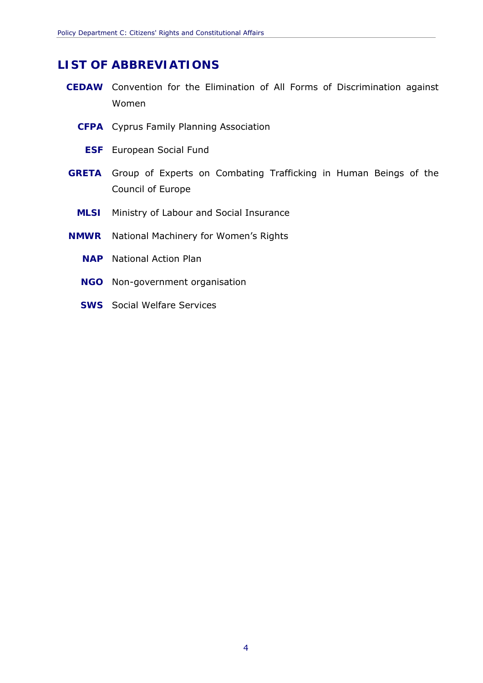# <span id="page-5-0"></span>**LIST OF ABBREVIATIONS**

- **CEDAW** Convention for the Elimination of All Forms of Discrimination against Women
	- **CFPA** Cyprus Family Planning Association
		- **ESF** European Social Fund
- **GRETA** Group of Experts on Combating Trafficking in Human Beings of the Council of Europe
	- **MLSI** Ministry of Labour and Social Insurance
- **NMWR** National Machinery for Women's Rights
	- **NAP** National Action Plan
	- **NGO** Non-government organisation
	- **SWS** Social Welfare Services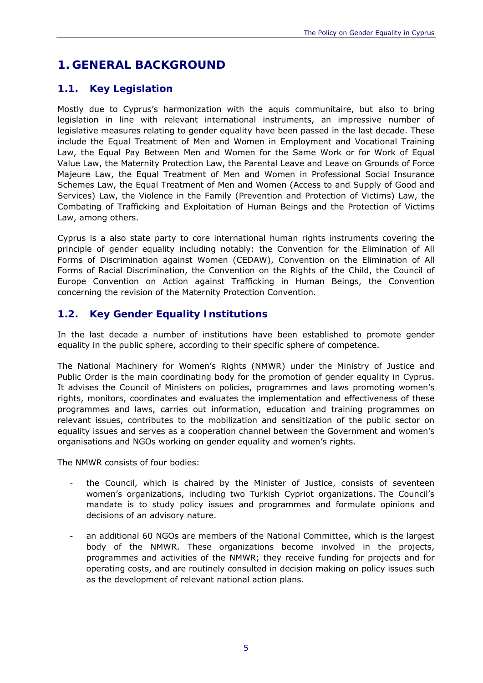# <span id="page-6-0"></span>**1. GENERAL BACKGROUND**

#### <span id="page-6-1"></span>**1.1. Key Legislation**

Mostly due to Cyprus's harmonization with the *aquis communitaire*, but also to bring legislation in line with relevant international instruments, an impressive number of legislative measures relating to gender equality have been passed in the last decade. These include the Equal Treatment of Men and Women in Employment and Vocational Training Law, the Equal Pay Between Men and Women for the Same Work or for Work of Equal Value Law, the Maternity Protection Law, the Parental Leave and Leave on Grounds of Force Majeure Law, the Equal Treatment of Men and Women in Professional Social Insurance Schemes Law, the Equal Treatment of Men and Women (Access to and Supply of Good and Services) Law, the Violence in the Family (Prevention and Protection of Victims) Law, the Combating of Trafficking and Exploitation of Human Beings and the Protection of Victims Law, among others.

Cyprus is a also state party to core international human rights instruments covering the principle of gender equality including notably: the Convention for the Elimination of All Forms of Discrimination against Women (CEDAW), Convention on the Elimination of All Forms of Racial Discrimination, the Convention on the Rights of the Child, the Council of Europe Convention on Action against Trafficking in Human Beings, the Convention concerning the revision of the Maternity Protection Convention.

#### <span id="page-6-2"></span>**1.2. Key Gender Equality Institutions**

In the last decade a number of institutions have been established to promote gender equality in the public sphere, according to their specific sphere of competence.

The National Machinery for Women's Rights (NMWR) under the Ministry of Justice and Public Order is the main coordinating body for the promotion of gender equality in Cyprus. It advises the Council of Ministers on policies, programmes and laws promoting women's rights, monitors, coordinates and evaluates the implementation and effectiveness of these programmes and laws, carries out information, education and training programmes on relevant issues, contributes to the mobilization and sensitization of the public sector on equality issues and serves as a cooperation channel between the Government and women's organisations and NGOs working on gender equality and women's rights.

The NMWR consists of four bodies:

- the Council, which is chaired by the Minister of Justice, consists of seventeen women's organizations, including two Turkish Cypriot organizations. The Council's mandate is to study policy issues and programmes and formulate opinions and decisions of an advisory nature.
- an additional 60 NGOs are members of the National Committee, which is the largest body of the NMWR. These organizations become involved in the projects, programmes and activities of the NMWR; they receive funding for projects and for operating costs, and are routinely consulted in decision making on policy issues such as the development of relevant national action plans.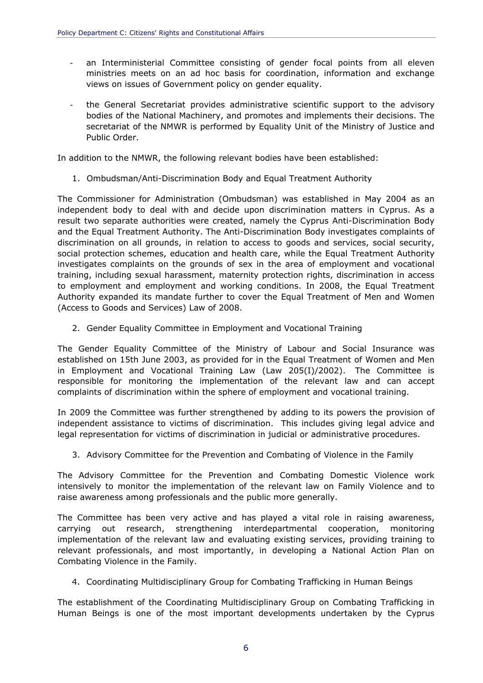- views on issues of Government policy on gender equality. an Interministerial Committee consisting of gender focal points from all eleven ministries meets on an ad hoc basis for coordination, information and exchange
- the General Secretariat provides administrative scientific support to the advisory bodies of the National Machinery, and promotes and implements their decisions. The secretariat of the NMWR is performed by Equality Unit of the Ministry of Justice and Public Order.

In addition to the NMWR, the following relevant bodies have been established:

1. Ombudsman/Anti-Discrimination Body and Equal Treatment Authority

The Commissioner for Administration (Ombudsman) was established in May 2004 as an independent body to deal with and decide upon discrimination matters in Cyprus. As a result two separate authorities were created, namely the Cyprus Anti-Discrimination Body and the Equal Treatment Authority. The Anti-Discrimination Body investigates complaints of discrimination on all grounds, in relation to access to goods and services, social security, social protection schemes, education and health care, while the Equal Treatment Authority investigates complaints on the grounds of sex in the area of employment and vocational training, including sexual harassment, maternity protection rights, discrimination in access to employment and employment and working conditions. In 2008, the Equal Treatment Authority expanded its mandate further to cover the Equal Treatment of Men and Women (Access to Goods and Services) Law of 2008.

2. Gender Equality Committee in Employment and Vocational Training

complaints of discrimination within the sphere of employment and vocational training. The Gender Equality Committee of the Ministry of Labour and Social Insurance was established on 15th June 2003, as provided for in the Equal Treatment of Women and Men in Employment and Vocational Training Law (Law 205(I)/2002). The Committee is responsible for monitoring the implementation of the relevant law and can accept

In 2009 the Committee was further strengthened by adding to its powers the provision of independent assistance to victims of discrimination. This includes giving legal advice and legal representation for victims of discrimination in judicial or administrative procedures.

3. Advisory Committee for the Prevention and Combating of Violence in the Family

The Advisory Committee for the Prevention and Combating Domestic Violence work intensively to monitor the implementation of the relevant law on Family Violence and to raise awareness among professionals and the public more generally.

The Committee has been very active and has played a vital role in raising awareness, carrying out research, strengthening interdepartmental cooperation, monitoring implementation of the relevant law and evaluating existing services, providing training to relevant professionals, and most importantly, in developing a National Action Plan on Combating Violence in the Family.

4. Coordinating Multidisciplinary Group for Combating Trafficking in Human Beings

 The establishment of the Coordinating Multidisciplinary Group on Combating Trafficking in Human Beings is one of the most important developments undertaken by the Cyprus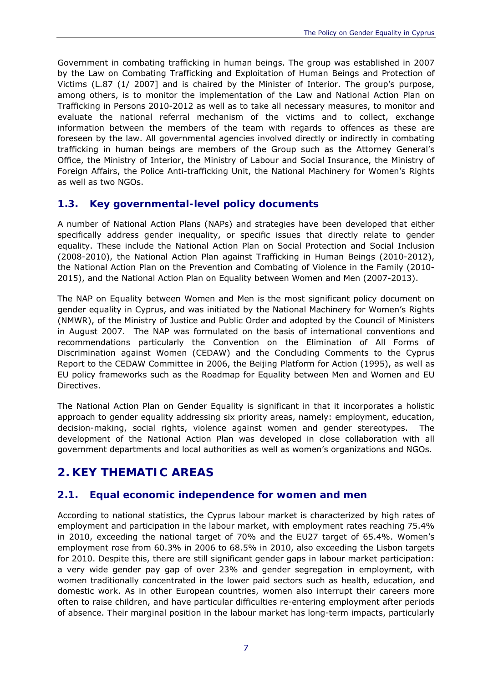Government in combating trafficking in human beings. The group was established in 2007 by the Law on Combating Trafficking and Exploitation of Human Beings and Protection of Victims (L.87 (1/ 2007] and is chaired by the Minister of Interior. The group's purpose, among others, is to monitor the implementation of the Law and National Action Plan on Trafficking in Persons 2010-2012 as well as to take all necessary measures, to monitor and evaluate the national referral mechanism of the victims and to collect, exchange information between the members of the team with regards to offences as these are foreseen by the law. All governmental agencies involved directly or indirectly in combating trafficking in human beings are members of the Group such as the Attorney General's Office, the Ministry of Interior, the Ministry of Labour and Social Insurance, the Ministry of Foreign Affairs, the Police Anti-trafficking Unit, the National Machinery for Women's Rights as well as two NGOs.

#### <span id="page-8-0"></span>**1.3. Key governmental-level policy documents**

A number of National Action Plans (NAPs) and strategies have been developed that either specifically address gender inequality, or specific issues that directly relate to gender equality. These include the National Action Plan on Social Protection and Social Inclusion (2008-2010), the National Action Plan against Trafficking in Human Beings (2010-2012), the National Action Plan on the Prevention and Combating of Violence in the Family (2010- 2015), and the National Action Plan on Equality between Women and Men (2007-2013).

The NAP on Equality between Women and Men is the most significant policy document on gender equality in Cyprus, and was initiated by the National Machinery for Women's Rights (NMWR), of the Ministry of Justice and Public Order and adopted by the Council of Ministers in August 2007. The NAP was formulated on the basis of international conventions and recommendations particularly the Convention on the Elimination of All Forms of Discrimination against Women (CEDAW) and the Concluding Comments to the Cyprus Report to the CEDAW Committee in 2006, the Beijing Platform for Action (1995), as well as EU policy frameworks such as the Roadmap for Equality between Men and Women and EU Directives.

The National Action Plan on Gender Equality is significant in that it incorporates a holistic approach to gender equality addressing six priority areas, namely: employment, education, decision-making, social rights, violence against women and gender stereotypes. The development of the National Action Plan was developed in close collaboration with all government departments and local authorities as well as women's organizations and NGOs.

# <span id="page-8-1"></span>**2. KEY THEMATIC AREAS**

#### <span id="page-8-2"></span>**2.1. Equal economic independence for women and men**

According to national statistics, the Cyprus labour market is characterized by high rates of employment and participation in the labour market, with employment rates reaching 75.4% in 2010, exceeding the national target of 70% and the EU27 target of 65.4%. Women's employment rose from 60.3% in 2006 to 68.5% in 2010, also exceeding the Lisbon targets for 2010. Despite this, there are still significant gender gaps in labour market participation: a very wide gender pay gap of over 23% and gender segregation in employment, with women traditionally concentrated in the lower paid sectors such as health, education, and domestic work. As in other European countries, women also interrupt their careers more often to raise children, and have particular difficulties re-entering employment after periods of absence. Their marginal position in the labour market has long-term impacts, particularly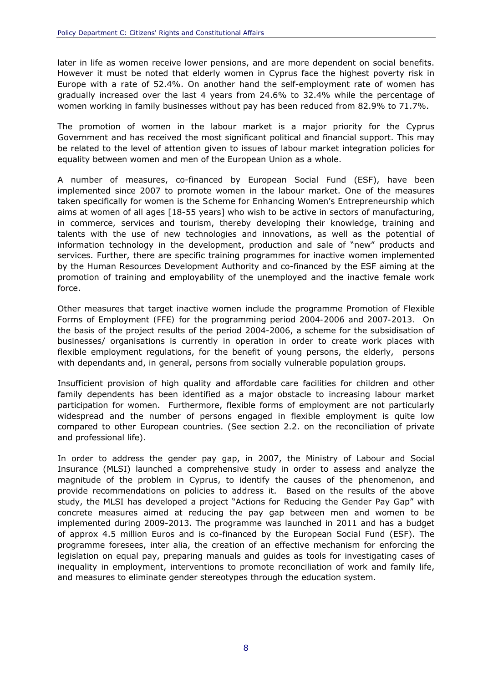later in life as women receive lower pensions, and are more dependent on social benefits. However it must be noted that elderly women in Cyprus face the highest poverty risk in Europe with a rate of 52.4%. On another hand the self-employment rate of women has gradually increased over the last 4 years from 24.6% to 32.4% while the percentage of women working in family businesses without pay has been reduced from 82.9% to 71.7%.

The promotion of women in the labour market is a major priority for the Cyprus Government and has received the most significant political and financial support. This may be related to the level of attention given to issues of labour market integration policies for equality between women and men of the European Union as a whole.

A number of measures, co-financed by European Social Fund (ESF), have been implemented since 2007 to promote women in the labour market. One of the measures taken specifically for women is the *Scheme for Enhancing Women's Entrepreneurship* which aims at women of all ages [18-55 years] who wish to be active in sectors of manufacturing, in commerce, services and tourism, thereby developing their knowledge, training and talents with the use of new technologies and innovations, as well as the potential of information technology in the development, production and sale of "new" products and services. Further, there are specific training programmes for inactive women implemented by the Human Resources Development Authority and co-financed by the ESF aiming at the promotion of training and employability of the unemployed and the inactive female work force.

Other measures that target inactive women include the programme *Promotion of Flexible Forms of Employment (FFE) for the programming period 2004-2006 and 2007-2013.* On the basis of the project results of the period 2004-2006, a scheme for the subsidisation of businesses/ organisations is currently in operation in order to create work places with flexible employment regulations, for the benefit of young persons, the elderly, persons with dependants and, in general, persons from socially vulnerable population groups.

 compared to other European countries. (See section 2.2. on the reconciliation of private Insufficient provision of high quality and affordable care facilities for children and other family dependents has been identified as a major obstacle to increasing labour market participation for women. Furthermore, flexible forms of employment are not particularly widespread and the number of persons engaged in flexible employment is quite low and professional life).

In order to address the gender pay gap, in 2007, the Ministry of Labour and Social Insurance (MLSI) launched a comprehensive study in order to assess and analyze the magnitude of the problem in Cyprus, to identify the causes of the phenomenon, and provide recommendations on policies to address it. Based on the results of the above study, the MLSI has developed a project "Actions for Reducing the Gender Pay Gap" with concrete measures aimed at reducing the pay gap between men and women to be implemented during 2009-2013. The programme was launched in 2011 and has a budget of approx 4.5 million Euros and is co-financed by the European Social Fund (ESF). The programme foresees, inter alia, the creation of an effective mechanism for enforcing the legislation on equal pay, preparing manuals and guides as tools for investigating cases of inequality in employment, interventions to promote reconciliation of work and family life, and measures to eliminate gender stereotypes through the education system.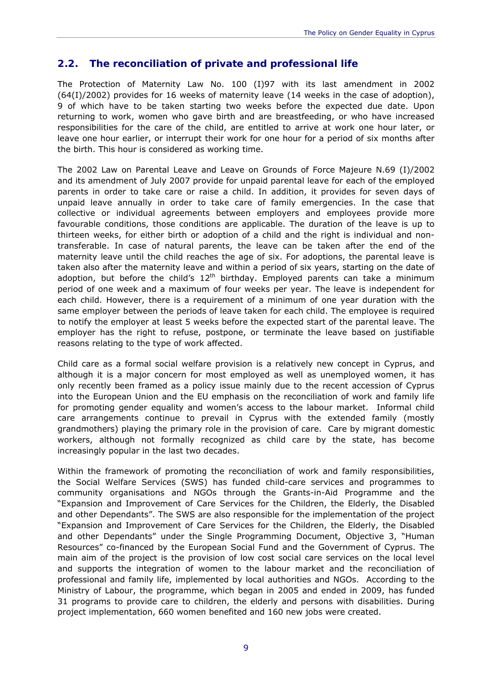#### <span id="page-10-0"></span>**2.2. The reconciliation of private and professional life**

the birth. This hour is considered as working time. The Protection of Maternity Law No. 100 (I)97 with its last amendment in 2002 (64(I)/2002) provides for 16 weeks of maternity leave (14 weeks in the case of adoption), 9 of which have to be taken starting two weeks before the expected due date. Upon returning to work, women who gave birth and are breastfeeding, or who have increased responsibilities for the care of the child, are entitled to arrive at work one hour later, or leave one hour earlier, or interrupt their work for one hour for a period of six months after

The 2002 Law on Parental Leave and Leave on Grounds of Force Majeure Ν.69 (Ι)/2002 and its amendment of July 2007 provide for unpaid parental leave for each of the employed parents in order to take care or raise a child. In addition, it provides for seven days of unpaid leave annually in order to take care of family emergencies. In the case that collective or individual agreements between employers and employees provide more favourable conditions, those conditions are applicable. The duration of the leave is up to thirteen weeks, for either birth or adoption of a child and the right is individual and nontransferable. In case of natural parents, the leave can be taken after the end of the maternity leave until the child reaches the age of six. For adoptions, the parental leave is taken also after the maternity leave and within a period of six years, starting on the date of adoption, but before the child's  $12<sup>th</sup>$  birthday. Employed parents can take a minimum period of one week and a maximum of four weeks per year. The leave is independent for each child. However, there is a requirement of a minimum of one year duration with the same employer between the periods of leave taken for each child. The employee is required to notify the employer at least 5 weeks before the expected start of the parental leave. The employer has the right to refuse, postpone, or terminate the leave based on justifiable reasons relating to the type of work affected.

Child care as a formal social welfare provision is a relatively new concept in Cyprus, and although it is a major concern for most employed as well as unemployed women, it has only recently been framed as a policy issue mainly due to the recent accession of Cyprus into the European Union and the EU emphasis on the reconciliation of work and family life for promoting gender equality and women's access to the labour market. Informal child care arrangements continue to prevail in Cyprus with the extended family (mostly grandmothers) playing the primary role in the provision of care. Care by migrant domestic workers, although not formally recognized as child care by the state, has become increasingly popular in the last two decades.

Within the framework of promoting the reconciliation of work and family responsibilities, the Social Welfare Services (SWS) has funded child-care services and programmes to community organisations and NGOs through the Grants-in-Aid Programme and the "Expansion and Improvement of Care Services for the Children, the Elderly, the Disabled and other Dependants". The SWS are also responsible for the implementation of the project "Expansion and Improvement of Care Services for the Children, the Elderly, the Disabled and other Dependants" under the Single Programming Document, Objective 3, "Human Resources" co-financed by the European Social Fund and the Government of Cyprus. The main aim of the project is the provision of low cost social care services on the local level and supports the integration of women to the labour market and the reconciliation of professional and family life, implemented by local authorities and NGOs. According to the Ministry of Labour, the programme, which began in 2005 and ended in 2009, has funded 31 programs to provide care to children, the elderly and persons with disabilities. During project implementation, 660 women benefited and 160 new jobs were created.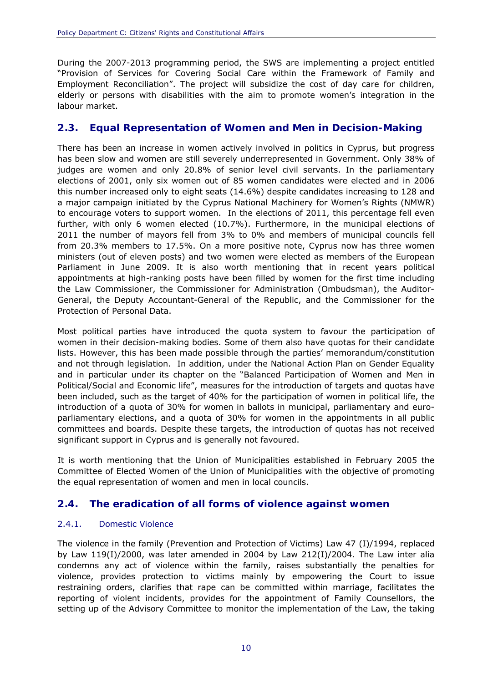labour market. During the 2007-2013 programming period, the SWS are implementing a project entitled "Provision of Services for Covering Social Care within the Framework of Family and Employment Reconciliation". The project will subsidize the cost of day care for children, elderly or persons with disabilities with the aim to promote women's integration in the

#### <span id="page-11-0"></span>**2.3. Equal Representation of Women and Men in Decision-Making**

There has been an increase in women actively involved in politics in Cyprus, but progress has been slow and women are still severely underrepresented in Government. Only 38% of judges are women and only 20.8% of senior level civil servants. In the parliamentary elections of 2001, only six women out of 85 women candidates were elected and in 2006 this number increased only to eight seats (14.6%) despite candidates increasing to 128 and a major campaign initiated by the Cyprus National Machinery for Women's Rights (NMWR) to encourage voters to support women. In the elections of 2011, this percentage fell even further, with only 6 women elected (10.7%). Furthermore, in the municipal elections of 2011 the number of mayors fell from 3% to 0% and members of municipal councils fell from 20.3% members to 17.5%. On a more positive note, Cyprus now has three women ministers (out of eleven posts) and two women were elected as members of the European Parliament in June 2009. It is also worth mentioning that in recent years political appointments at high-ranking posts have been filled by women for the first time including the Law Commissioner, the Commissioner for Administration (Ombudsman), the Auditor-General, the Deputy Accountant-General of the Republic, and the Commissioner for the Protection of Personal Data.

 significant support in Cyprus and is generally not favoured. Most political parties have introduced the quota system to favour the participation of women in their decision-making bodies. Some of them also have quotas for their candidate lists. However, this has been made possible through the parties' memorandum/constitution and not through legislation. In addition, under the National Action Plan on Gender Equality and in particular under its chapter on the "Balanced Participation of Women and Men in Political/Social and Economic life", measures for the introduction of targets and quotas have been included, such as the target of 40% for the participation of women in political life, the introduction of a quota of 30% for women in ballots in municipal, parliamentary and europarliamentary elections, and a quota of 30% for women in the appointments in all public committees and boards. Despite these targets, the introduction of quotas has not received

 the equal representation of women and men in local councils. It is worth mentioning that the Union of Municipalities established in February 2005 the Committee of Elected Women of the Union of Municipalities with the objective of promoting

#### <span id="page-11-1"></span>**2.4. The eradication of all forms of violence against women**

#### <span id="page-11-2"></span>2.4.1. Domestic Violence

The violence in the family (Prevention and Protection of Victims) Law 47 (I)/1994, replaced by Law 119(I)/2000, was later amended in 2004 by Law 212(I)/2004. The Law *inter alia*  condemns any act of violence within the family, raises substantially the penalties for violence, provides protection to victims mainly by empowering the Court to issue restraining orders, clarifies that rape can be committed within marriage, facilitates the reporting of violent incidents, provides for the appointment of Family Counsellors, the setting up of the Advisory Committee to monitor the implementation of the Law, the taking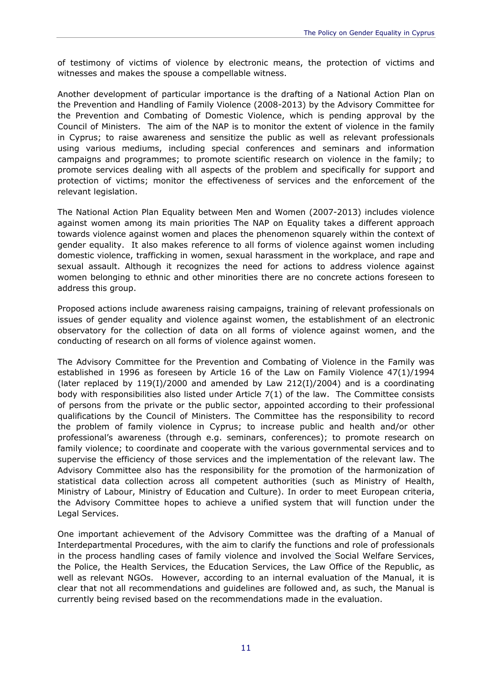of testimony of victims of violence by electronic means, the protection of victims and witnesses and makes the spouse a compellable witness.

relevant legislation. Another development of particular importance is the drafting of a National Action Plan on the Prevention and Handling of Family Violence (2008-2013) by the Advisory Committee for the Prevention and Combating of Domestic Violence, which is pending approval by the Council of Ministers. The aim of the NAP is to monitor the extent of violence in the family in Cyprus; to raise awareness and sensitize the public as well as relevant professionals using various mediums, including special conferences and seminars and information campaigns and programmes; to promote scientific research on violence in the family; to promote services dealing with all aspects of the problem and specifically for support and protection of victims; monitor the effectiveness of services and the enforcement of the

The National Action Plan Equality between Men and Women (2007-2013) includes violence against women among its main priorities The NAP on Equality takes a different approach towards violence against women and places the phenomenon squarely within the context of gender equality. It also makes reference to *all forms of violence against women* including domestic violence, trafficking in women, sexual harassment in the workplace, and rape and sexual assault. Although it recognizes the need for actions to address violence against women belonging to ethnic and other minorities there are no concrete actions foreseen to address this group.

Proposed actions include awareness raising campaigns, training of relevant professionals on issues of gender equality and violence against women, the establishment of an electronic observatory for the collection of data on all forms of violence against women, and the conducting of research on all forms of violence against women.

The Advisory Committee for the Prevention and Combating of Violence in the Family was established in 1996 as foreseen by Article 16 of the Law on Family Violence 47(1)/1994 (later replaced by  $119(1)/2000$  and amended by Law  $212(1)/2004$ ) and is a coordinating body with responsibilities also listed under Article 7(1) of the law. The Committee consists of persons from the private or the public sector, appointed according to their professional qualifications by the Council of Ministers. The Committee has the responsibility to record the problem of family violence in Cyprus; to increase public and health and/or other professional's awareness (through e.g. seminars, conferences); to promote research on family violence; to coordinate and cooperate with the various governmental services and to supervise the efficiency of those services and the implementation of the relevant law. The Advisory Committee also has the responsibility for the promotion of the harmonization of statistical data collection across all competent authorities (such as Ministry of Health, Ministry of Labour, Ministry of Education and Culture). In order to meet European criteria, the Advisory Committee hopes to achieve a unified system that will function under the Legal Services.

One important achievement of the Advisory Committee was the drafting of a Manual of Interdepartmental Procedures, with the aim to clarify the functions and role of professionals in the process handling cases of family violence and involved the Social Welfare Services, the Police, the Health Services, the Education Services, the Law Office of the Republic, as well as relevant NGOs. However, according to an internal evaluation of the Manual, it is clear that not all recommendations and guidelines are followed and, as such, the Manual is currently being revised based on the recommendations made in the evaluation.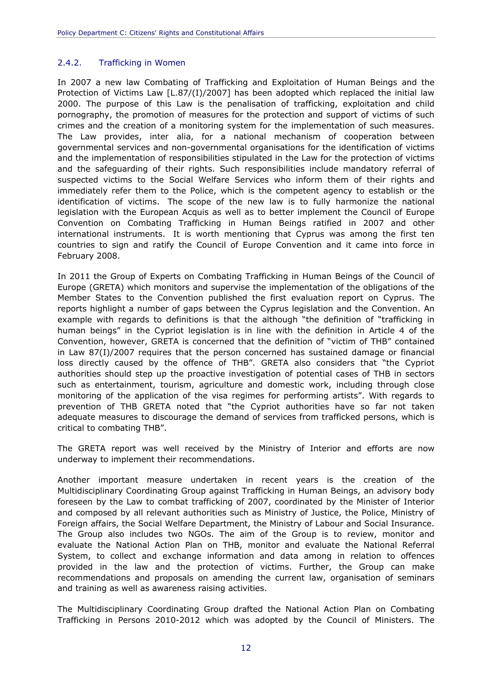#### <span id="page-13-0"></span>2.4.2. Trafficking in Women

In 2007 a new law *Combating of Trafficking and Exploitation of Human Beings and the Protection of Victims Law* [L.87/(I)/2007] has been adopted which replaced the initial law 2000. The purpose of this Law is the penalisation of trafficking, exploitation and child pornography, the promotion of measures for the protection and support of victims of such crimes and the creation of a monitoring system for the implementation of such measures. The Law provides, *inter alia*, for a national mechanism of cooperation between governmental services and non-governmental organisations for the identification of victims and the implementation of responsibilities stipulated in the Law for the protection of victims and the safeguarding of their rights. Such responsibilities include mandatory referral of suspected victims to the Social Welfare Services who inform them of their rights and immediately refer them to the Police, which is the competent agency to establish or the identification of victims. The scope of the new law is to fully harmonize the national legislation with the European Acquis as well as to better implement the Council of Europe Convention on Combating Trafficking in Human Beings ratified in 2007 and other international instruments. It is worth mentioning that Cyprus was among the first ten countries to sign and ratify the Council of Europe Convention and it came into force in February 2008.

In 2011 the Group of Experts on Combating Trafficking in Human Beings of the Council of Europe (GRETA) which monitors and supervise the implementation of the obligations of the Member States to the Convention published the first evaluation report on Cyprus. The reports highlight a number of gaps between the Cyprus legislation and the Convention. An example with regards to definitions is that the although "the definition of "trafficking in human beings" in the Cypriot legislation is in line with the definition in Article 4 of the Convention, however, GRETA is concerned that the definition of "victim of THB" contained in Law 87(I)/2007 requires that the person concerned has sustained damage or financial loss directly caused by the offence of THB". GRETA also considers that "the Cypriot authorities should step up the proactive investigation of potential cases of THB in sectors such as entertainment, tourism, agriculture and domestic work, including through close monitoring of the application of the visa regimes for performing artists". With regards to prevention of THB GRETA noted that "the Cypriot authorities have so far not taken adequate measures to discourage the demand of services from trafficked persons, which is critical to combating THB".

The GRETA report was well received by the Ministry of Interior and efforts are now underway to implement their recommendations.

and training as well as awareness raising activities. Another important measure undertaken in recent years is the creation of the Multidisciplinary Coordinating Group against Trafficking in Human Beings, an advisory body foreseen by the Law to combat trafficking of 2007, coordinated by the Minister of Interior and composed by all relevant authorities such as Ministry of Justice, the Police, Ministry of Foreign affairs, the Social Welfare Department, the Ministry of Labour and Social Insurance. The Group also includes two NGOs. The aim of the Group is to review, monitor and evaluate the National Action Plan on THB, monitor and evaluate the National Referral System, to collect and exchange information and data among in relation to offences provided in the law and the protection of victims. Further, the Group can make recommendations and proposals on amending the current law, organisation of seminars

The Multidisciplinary Coordinating Group drafted the National Action Plan on Combating Trafficking in Persons 2010-2012 which was adopted by the Council of Ministers. The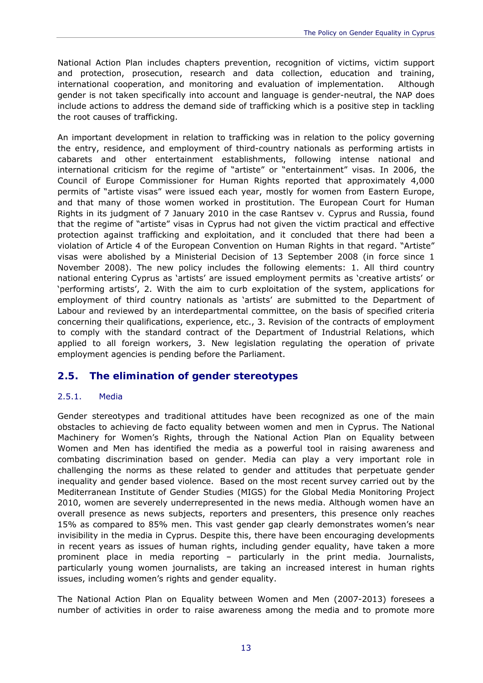National Action Plan includes chapters prevention, recognition of victims, victim support and protection, prosecution, research and data collection, education and training, international cooperation, and monitoring and evaluation of implementation. Although gender is not taken specifically into account and language is gender-neutral, the NAP does include actions to address the demand side of trafficking which is a positive step in tackling the root causes of trafficking.

 employment agencies is pending before the Parliament. An important development in relation to trafficking was in relation to the policy governing the entry, residence, and employment of third-country nationals as performing artists in cabarets and other entertainment establishments, following intense national and international criticism for the regime of "artiste" or "entertainment" visas. In 2006, the Council of Europe Commissioner for Human Rights reported that approximately 4,000 permits of "artiste visas" were issued each year, mostly for women from Eastern Europe, and that many of those women worked in prostitution. The European Court for Human Rights in its judgment of 7 January 2010 in the case *Rantsev v. Cyprus and Russia*, found that the regime of "artiste" visas in Cyprus had not given the victim practical and effective protection against trafficking and exploitation, and it concluded that there had been a violation of Article 4 of the European Convention on Human Rights in that regard. "Artiste" visas were abolished by a Ministerial Decision of 13 September 2008 (in force since 1 November 2008). The new policy includes the following elements: 1. All third country national entering Cyprus as 'artists' are issued employment permits as 'creative artists' or 'performing artists', 2. With the aim to curb exploitation of the system, applications for employment of third country nationals as 'artists' are submitted to the Department of Labour and reviewed by an interdepartmental committee, on the basis of specified criteria concerning their qualifications, experience, etc., 3. Revision of the contracts of employment to comply with the standard contract of the Department of Industrial Relations, which applied to all foreign workers, 3. New legislation regulating the operation of private

#### <span id="page-14-0"></span>**2.5. The elimination of gender stereotypes**

#### <span id="page-14-1"></span>2.5.1. Media

Gender stereotypes and traditional attitudes have been recognized as one of the main obstacles to achieving de facto equality between women and men in Cyprus. The National Machinery for Women's Rights, through the National Action Plan on Equality between Women and Men has identified the media as a powerful tool in raising awareness and combating discrimination based on gender. Media can play a very important role in challenging the norms as these related to gender and attitudes that perpetuate gender inequality and gender based violence. Based on the most recent survey carried out by the Mediterranean Institute of Gender Studies (MIGS) for the Global Media Monitoring Project 2010, women are severely underrepresented in the news media. Although women have an overall presence as news subjects, reporters and presenters, this presence only reaches 15% as compared to 85% men. This vast gender gap clearly demonstrates women's near invisibility in the media in Cyprus. Despite this, there have been encouraging developments in recent years as issues of human rights, including gender equality, have taken a more prominent place in media reporting – particularly in the print media. Journalists, particularly young women journalists, are taking an increased interest in human rights issues, including women's rights and gender equality.

The National Action Plan on Equality between Women and Men (2007-2013) foresees a number of activities in order to raise awareness among the media and to promote more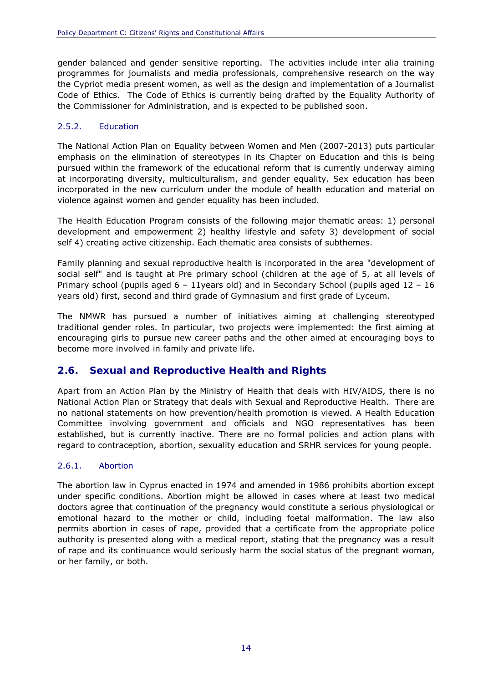gender balanced and gender sensitive reporting. The activities include inter alia training programmes for journalists and media professionals, comprehensive research on the way the Cypriot media present women, as well as the design and implementation of a Journalist Code of Ethics. The Code of Ethics is currently being drafted by the Equality Authority of the Commissioner for Administration, and is expected to be published soon.

#### <span id="page-15-0"></span>2.5.2. Education

The National Action Plan on Equality between Women and Men (2007-2013) puts particular emphasis on the elimination of stereotypes in its Chapter on Education and this is being pursued within the framework of the educational reform that is currently underway aiming at incorporating diversity, multiculturalism, and gender equality. Sex education has been incorporated in the new curriculum under the module of health education and material on violence against women and gender equality has been included.

The Health Education Program consists of the following major thematic areas: 1) personal development and empowerment 2) healthy lifestyle and safety 3) development of social self 4) creating active citizenship. Each thematic area consists of subthemes.

Family planning and sexual reproductive health is incorporated in the area "development of social self" and is taught at Pre primary school (children at the age of 5, at all levels of Primary school (pupils aged 6 – 11years old) and in Secondary School (pupils aged 12 – 16 years old) first, second and third grade of Gymnasium and first grade of Lyceum.

The NMWR has pursued a number of initiatives aiming at challenging stereotyped traditional gender roles. In particular, two projects were implemented: the first aiming at encouraging girls to pursue new career paths and the other aimed at encouraging boys to become more involved in family and private life.

#### <span id="page-15-1"></span>**2.6. Sexual and Reproductive Health and Rights**

Apart from an Action Plan by the Ministry of Health that deals with HIV/AIDS, there is no National Action Plan or Strategy that deals with Sexual and Reproductive Health. There are no national statements on how prevention/health promotion is viewed. A Health Education Committee involving government and officials and NGO representatives has been established, but is currently inactive. There are no formal policies and action plans with regard to contraception, abortion, sexuality education and SRHR services for young people.

#### <span id="page-15-2"></span>2.6.1. Abortion

The abortion law in Cyprus enacted in 1974 and amended in 1986 prohibits abortion except under specific conditions. Abortion might be allowed in cases where at least two medical doctors agree that continuation of the pregnancy would constitute a serious physiological or emotional hazard to the mother or child, including foetal malformation. The law also permits abortion in cases of rape, provided that a certificate from the appropriate police authority is presented along with a medical report, stating that the pregnancy was a result of rape and its continuance would seriously harm the social status of the pregnant woman, or her family, or both.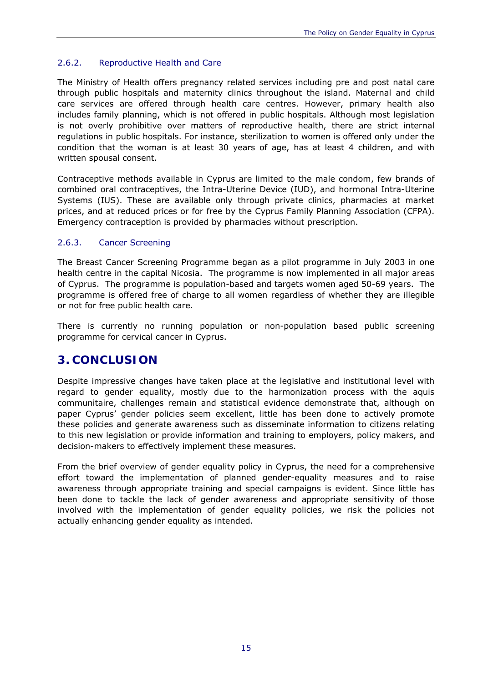#### <span id="page-16-0"></span>2.6.2. Reproductive Health and Care

The Ministry of Health offers pregnancy related services including pre and post natal care through public hospitals and maternity clinics throughout the island. Maternal and child care services are offered through health care centres. However, primary health also includes family planning, which is not offered in public hospitals. Although most legislation is not overly prohibitive over matters of reproductive health, there are strict internal regulations in public hospitals. For instance, sterilization to women is offered only under the condition that the woman is at least 30 years of age, has at least 4 children, and with written spousal consent.

Contraceptive methods available in Cyprus are limited to the male condom, few brands of combined oral contraceptives, the Intra-Uterine Device (IUD), and hormonal Intra-Uterine Systems (IUS). These are available only through private clinics, pharmacies at market prices, and at reduced prices or for free by the Cyprus Family Planning Association (CFPA). Emergency contraception is provided by pharmacies without prescription.

#### <span id="page-16-1"></span>2.6.3. Cancer Screening

The Breast Cancer Screening Programme began as a pilot programme in July 2003 in one health centre in the capital Nicosia. The programme is now implemented in all major areas of Cyprus. The programme is population-based and targets women aged 50-69 years. The programme is offered free of charge to all women regardless of whether they are illegible or not for free public health care.

There is currently no running population or non-population based public screening programme for cervical cancer in Cyprus.

## <span id="page-16-2"></span>**3. CONCLUSION**

Despite impressive changes have taken place at the legislative and institutional level with regard to gender equality, mostly due to the harmonization process with the *aquis communitaire*, challenges remain and statistical evidence demonstrate that, although on paper Cyprus' gender policies seem excellent, little has been done to actively promote these policies and generate awareness such as disseminate information to citizens relating to this new legislation or provide information and training to employers, policy makers, and decision-makers to effectively implement these measures.

From the brief overview of gender equality policy in Cyprus, the need for a comprehensive effort toward the implementation of planned gender-equality measures and to raise awareness through appropriate training and special campaigns is evident. Since little has been done to tackle the lack of gender awareness and appropriate sensitivity of those involved with the implementation of gender equality policies, we risk the policies not actually enhancing gender equality as intended.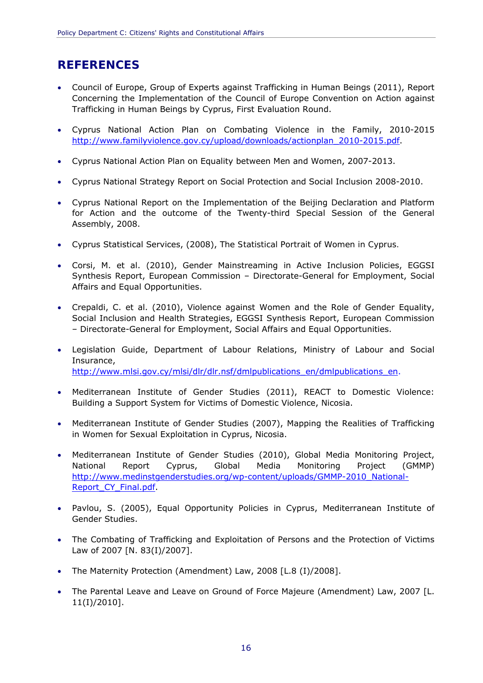# **REFERENCES**

- Council of Europe, Group of Experts against Trafficking in Human Beings (2011), Report Concerning the Implementation of the Council of Europe Convention on Action against Trafficking in Human Beings by Cyprus, First Evaluation Round.
- Cyprus National Action Plan on Combating Violence in the Family, 2010-2015 [http://www.familyviolence.gov.cy/upload/downloads/actionplan\\_2010-2015.pdf.](http://www.familyviolence.gov.cy/upload/downloads/actionplan_2010-2015.pdf)
- Cyprus National Action Plan on Equality between Men and Women, 2007-2013.
- Cyprus National Strategy Report on Social Protection and Social Inclusion 2008-2010.
- Cyprus National Report on the Implementation of the Beijing Declaration and Platform for Action and the outcome of the Twenty-third Special Session of the General Assembly, 2008.
- Cyprus Statistical Services, (2008), *The Statistical Portrait of Women in Cyprus.*
- Corsi, M. et al. (2010), Gender Mainstreaming in Active Inclusion Policies, EGGSI Synthesis Report, European Commission – Directorate-General for Employment, Social Affairs and Equal Opportunities.
- Crepaldi, C. et al. (2010), Violence against Women and the Role of Gender Equality, Social Inclusion and Health Strategies, EGGSI Synthesis Report, European Commission – Directorate-General for Employment, Social Affairs and Equal Opportunities.
- [http://www.mlsi.gov.cy/mlsi/dlr/dlr.nsf/dmlpublications\\_en/dmlpublications\\_en.](http://www.mlsi.gov.cy/mlsi/dlr/dlr.nsf/dmlpublications_en/dmlpublications_en) Legislation Guide, Department of Labour Relations, Ministry of Labour and Social Insurance,
- Mediterranean Institute of Gender Studies (2011), REACT to Domestic Violence: Building a Support System for Victims of Domestic Violence, Nicosia.
- Mediterranean Institute of Gender Studies (2007), Mapping the Realities of Trafficking in Women for Sexual Exploitation in Cyprus, Nicosia.
- Mediterranean Institute of Gender Studies (2010), Global Media Monitoring Project, National Report Cyprus, Global Media Monitoring Project (GMMP) [http://www.medinstgenderstudies.org/wp-content/uploads/GMMP-2010\\_National-](http://www.medinstgenderstudies.org/wp-content/uploads/GMMP-2010_National-Report_CY_Final.pdf)Report CY Final.pdf.
- Pavlou, S. (2005), Equal Opportunity Policies in Cyprus, Mediterranean Institute of Gender Studies.
- The Combating of Trafficking and Exploitation of Persons and the Protection of Victims Law of 2007 [N. 83(I)/2007].
- The Maternity Protection (Amendment) Law, 2008 [L.8 (I)/2008].
- The Parental Leave and Leave on Ground of Force Majeure (Amendment) Law, 2007 [L. 11(I)/2010].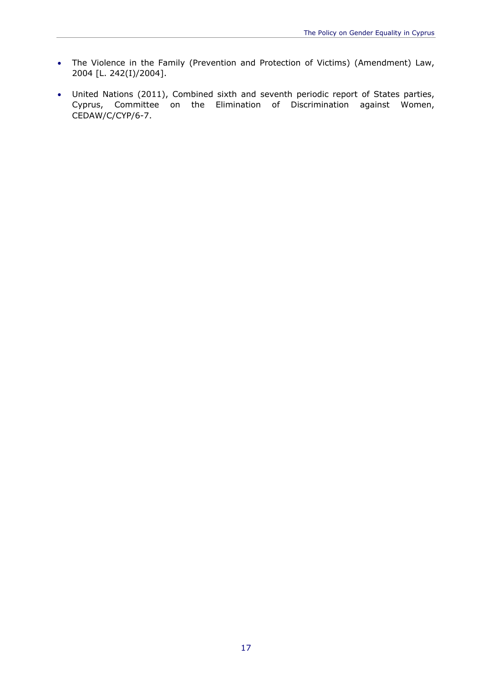- The Violence in the Family (Prevention and Protection of Victims) (Amendment) Law, 2004 [L. 242(I)/2004].
- United Nations (2011), Combined sixth and seventh periodic report of States parties, Cyprus, Committee on the Elimination of Discrimination against Women, CEDAW/C/CYP/6-7.